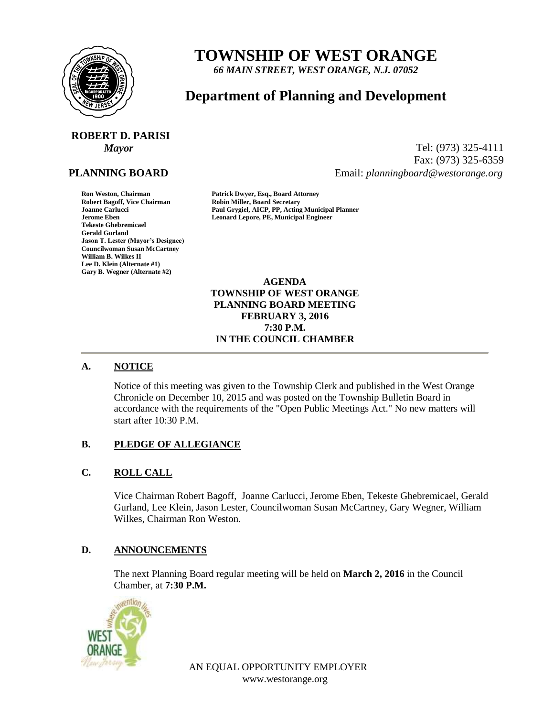

# **TOWNSHIP OF WEST ORANGE**

*66 MAIN STREET, WEST ORANGE, N.J. 07052*

# **Department of Planning and Development**

# **ROBERT D. PARISI**

# **PLANNING BOARD**

**Tekeste Ghebremicael Gerald Gurland Jason T. Lester (Mayor's Designee) Councilwoman Susan McCartney William B. Wilkes II Lee D. Klein (Alternate #1) Gary B. Wegner (Alternate #2)**

*Mayor* Tel: (973) 325-4111 Fax: (973) 325-6359 Email: *planningboard@westorange.org*

**Ron Weston, Chairman Patrick Dwyer, Esq., Board Attorney Robin Miller, Board Secretary Joanne Carlucci Paul Grygiel, AICP, PP, Acting Municipal Planner Jerome Eben Leonard Lepore, PE, Municipal Engineer**

> **AGENDA TOWNSHIP OF WEST ORANGE PLANNING BOARD MEETING FEBRUARY 3, 2016 7:30 P.M. IN THE COUNCIL CHAMBER**

# **A. NOTICE**

Notice of this meeting was given to the Township Clerk and published in the West Orange Chronicle on December 10, 2015 and was posted on the Township Bulletin Board in accordance with the requirements of the "Open Public Meetings Act." No new matters will start after 10:30 P.M.

# **B. PLEDGE OF ALLEGIANCE**

# **C. ROLL CALL**

Vice Chairman Robert Bagoff, Joanne Carlucci, Jerome Eben, Tekeste Ghebremicael, Gerald Gurland, Lee Klein, Jason Lester, Councilwoman Susan McCartney, Gary Wegner, William Wilkes, Chairman Ron Weston.

#### **D. ANNOUNCEMENTS**

The next Planning Board regular meeting will be held on **March 2, 2016** in the Council Chamber, at **7:30 P.M.**



AN EQUAL OPPORTUNITY EMPLOYER www.westorange.org